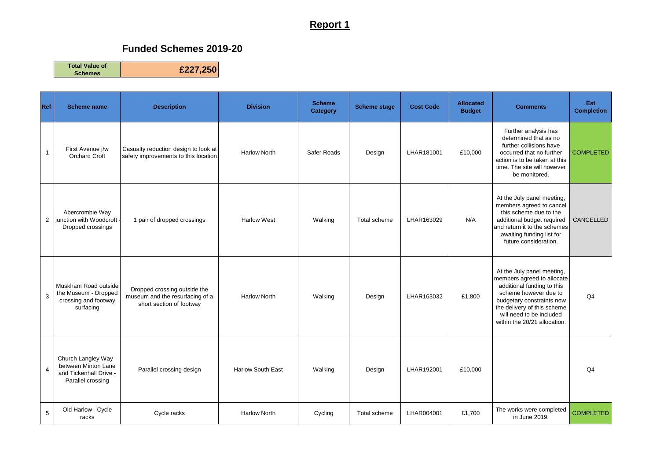## **Report 1**

## **Funded Schemes 2019-20**

**Total Value of Schemes £227,250**

| Ref            | <b>Scheme name</b>                                                                         | <b>Description</b>                                                                          | <b>Division</b>          | <b>Scheme</b><br>Category | <b>Scheme stage</b> | <b>Cost Code</b> | <b>Allocated</b><br><b>Budget</b> | <b>Comments</b>                                                                                                                                                                                                                         | Est<br><b>Completion</b> |
|----------------|--------------------------------------------------------------------------------------------|---------------------------------------------------------------------------------------------|--------------------------|---------------------------|---------------------|------------------|-----------------------------------|-----------------------------------------------------------------------------------------------------------------------------------------------------------------------------------------------------------------------------------------|--------------------------|
| $\mathbf{1}$   | First Avenue j/w<br><b>Orchard Croft</b>                                                   | Casualty reduction design to look at<br>safety improvements to this location                | <b>Harlow North</b>      | Safer Roads               | Design              | LHAR181001       | £10,000                           | Further analysis has<br>determined that as no<br>further collisions have<br>occurred that no further<br>action is to be taken at this<br>time. The site will however<br>be monitored.                                                   | <b>COMPLETED</b>         |
| $\overline{2}$ | Abercrombie Way<br>unction with Woodcroft<br>Dropped crossings                             | 1 pair of dropped crossings                                                                 | <b>Harlow West</b>       | Walking                   | Total scheme        | LHAR163029       | N/A                               | At the July panel meeting,<br>members agreed to cancel<br>this scheme due to the<br>additional budget required<br>and return it to the schemes<br>awaiting funding list for<br>future consideration.                                    | <b>CANCELLED</b>         |
| 3              | Muskham Road outside<br>the Museum - Dropped<br>crossing and footway<br>surfacing          | Dropped crossing outside the<br>museum and the resurfacing of a<br>short section of footway | <b>Harlow North</b>      | Walking                   | Design              | LHAR163032       | £1,800                            | At the July panel meeting,<br>members agreed to allocate<br>additional funding to this<br>scheme however due to<br>budgetary constraints now<br>the delivery of this scheme<br>will need to be included<br>within the 20/21 allocation. | Q <sub>4</sub>           |
| $\overline{4}$ | Church Langley Way -<br>between Minton Lane<br>and Tickenhall Drive -<br>Parallel crossing | Parallel crossing design                                                                    | <b>Harlow South East</b> | Walking                   | Design              | LHAR192001       | £10,000                           |                                                                                                                                                                                                                                         | Q <sub>4</sub>           |
| 5              | Old Harlow - Cycle<br>racks                                                                | Cycle racks                                                                                 | <b>Harlow North</b>      | Cycling                   | Total scheme        | LHAR004001       | £1,700                            | The works were completed<br>in June 2019.                                                                                                                                                                                               | <b>COMPLETED</b>         |